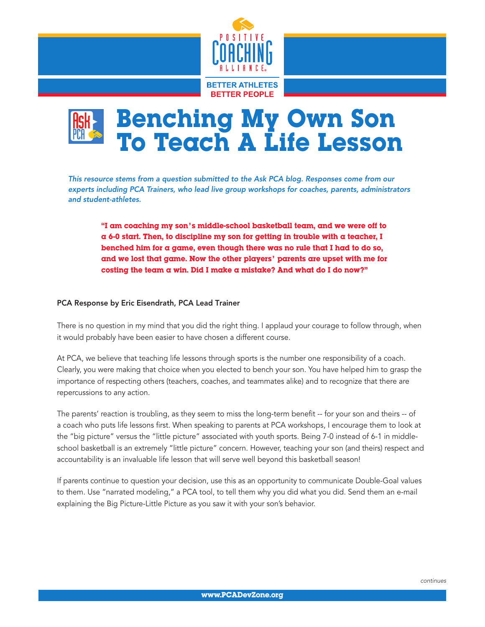

## Benching My Own Son To Teach A Life Lesson

*This resource stems from a question submitted to the Ask PCA blog. Responses come from our experts including PCA Trainers, who lead live group workshops for coaches, parents, administrators and student-athletes.*

"I am coaching my son's middle-school basketball team, and we were off to  $\alpha$  6-0 start. Then, to discipline my son for getting in trouble with  $\alpha$  teacher, I benched him for a game, even though there was no rule that I had to do so, and we lost that game. Now the other players' parents are upset with me for costing the team a win. Did I make a mistake? And what do I do now?"

## PCA Response by Eric Eisendrath, PCA Lead Trainer

There is no question in my mind that you did the right thing. I applaud your courage to follow through, when it would probably have been easier to have chosen a different course.

At PCA, we believe that teaching life lessons through sports is the number one responsibility of a coach. Clearly, you were making that choice when you elected to bench your son. You have helped him to grasp the importance of respecting others (teachers, coaches, and teammates alike) and to recognize that there are repercussions to any action.

The parents' reaction is troubling, as they seem to miss the long-term benefit -- for your son and theirs -- of a coach who puts life lessons first. When speaking to parents at PCA workshops, I encourage them to look at the "big picture" versus the "little picture" associated with youth sports. Being 7-0 instead of 6-1 in middleschool basketball is an extremely "little picture" concern. However, teaching your son (and theirs) respect and accountability is an invaluable life lesson that will serve well beyond this basketball season!

If parents continue to question your decision, use this as an opportunity to communicate Double-Goal values to them. Use "narrated modeling," a PCA tool, to tell them why you did what you did. Send them an e-mail explaining the Big Picture-Little Picture as you saw it with your son's behavior.